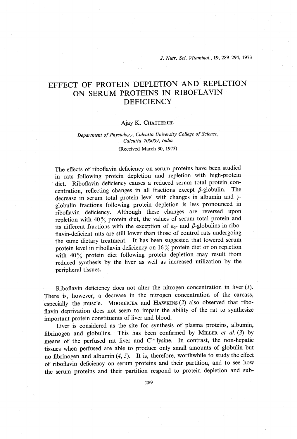J. Nutr. Sci. Vitaminol., 19, 289-294, 1973

# EFFECT OF PROTEIN DEPLETION AND REPLETION ON SERUM PROTEINS IN RIBOFLAVIN **DEFICIENCY**

#### Ajay K. CHATTERJEE

#### Department of Physiology, Calcutta University College of Science, Calcutta-700009, India (Received March 30, 1973)

The effects of riboflavin deficiency on serum proteins have been studied in rats following protein depletion and repletion with high-protein diet. Riboflavin deficiency causes a reduced serum total protein con centration, reflecting changes in all fractions except  $\beta$ -globulin. The decrease in serum total protein level with changes in albumin and  $\gamma$ -globulin fractions following protein depletion is less pronounced in - globulin fractions following protein depletion is less pronounced in ribonavin deficiency. Although these changes are reversed upon repletion with 40% protein diet, the values of serum total protein and its different fractions with the exception of  $a_2$ - and  $\beta$ -globulins in riboflavin-deficient rats are still lower than those of control rats undergoing the same dietary treatment. It has been suggested that lowered serum protein level in riboflavin deficiency on  $16\%$  protein diet or on repletion protein level in riboflavin deficiency on 16% protein diet or on repletion with  $40\frac{1}{20}$  protein diet following protein depiction may result from reduced synthesis by the liver as well as increased utilization by the peripheral tissues.

Riboflavin deficiency does not alter the nitrogen concentration in liver  $(1)$ . There is, however, a decrease in the nitrogen concentration of the carcass, especially the muscle. MOOKERJEA and HAWKINS (2) also observed that ribo flavin deprivation does not seem to impair the ability of the rat to synthesize important protein constituents of liver and blood.

Liver is considered as the site for synthesis of plasma proteins, albumin, fibrinogen and globulins. This has been confirmed by MILLER et al.  $(3)$  by means of the perfused rat liver and  $C<sup>14</sup>$ -lysine. In contrast, the non-hepatic tissues when perfused are able to produce only small amounts of globulin but no fibrinogen and albumin (4, 5). It is, therefore, worthwhile to study the effect of riboflavin deficiency on serum proteins and their partition, and to see how the serum proteins and their partition respond to protein depletion and sub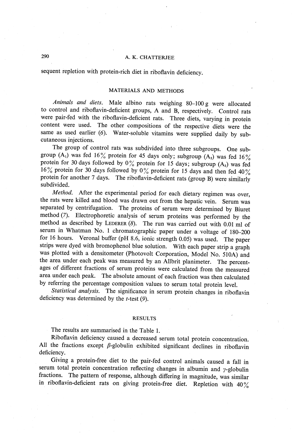## 290 A. K. CHATTERJEE

sequent repletion with protein-rich diet in riboflavin deficiency.

## MATERIALS AND METHODS

Animals and diets. Male albino rats weighing 80-100g were allocated to control and riboflavin-deficient groups, A and B, respectively. Control rats were pair-fed with the riboflavin-deficient rats. Three diets, varying in protein content were used. The other compositions of the respective diets were the same as used earlier (6). Water-soluble vitamins were supplied daily by subcutaneous injections.

The group of control rats was subdivided into three subgroups. One sub group (A<sub>1</sub>) was fed 16% protein for 45 days only; subgroup (A<sub>2</sub>) was fed 16% protein for 30 days followed by  $0\%$  protein for 15 days; subgroup  $(A_3)$  was fed 16% protein for 30 days followed by 0% protein for 15 days and then fed 40% protein for another 7 days. The riboflavin-deficient rats (group B) were similarly subdivided.

Method. After the experimental period for each dietary regimen was over, the rats were killed and blood was drawn out from the hepatic vein. Serum was separated by centrifugation. The proteins of serum were determined by Biuret method (7). Electrophoretic analysis of serum proteins was performed by the method as described by LEDERER  $(8)$ . The run was carried out with 0.01 ml of serum in Whatman No. 1 chromatographic paper under a voltage of 180-200 for 16 hours. Veronal buffer (pH 8.6, ionic strength 0.05) was used. The paper strips were dyed with bromophenol blue solution. With each paper strip a graph was plotted with a densitometer (Photovolt Corporation, Model No. 510A) and the area under each peak was measured by an Allbrit planimeter. The percentages of different fractions of serum proteins were calculated from the measured area under each peak. The absolute amount of each fraction was then calculated by referring the percentage composition values to serum total protein level .

Statistical analysis. The significance in serum protein changes in riboflavin deficiency was determined by the  $t$ -test  $(9)$ .

#### **RESULTS**

The results are summarised in the Table 1.

Riboflavin deficiency caused a decreased serum total protein concentration . All the fractions except  $\beta$ -globulin exhibited significant declines in riboflavin deficiency.

Giving a protein-free diet to the pair-fed control animals caused a fall in serum total protein concentration reflecting changes in albumin and  $\gamma$ -globulin fractions. The pattern of response, although differing in magnitude, was similar in riboflavin-deficient rats on giving protein-free diet. Repletion with  $40\%$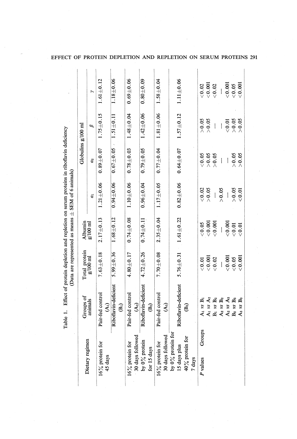|                                                         |                                                |                 |                     | (Data are represented as means $\pm$ SEM of 6 animals) |                      |                 |                 |
|---------------------------------------------------------|------------------------------------------------|-----------------|---------------------|--------------------------------------------------------|----------------------|-----------------|-----------------|
|                                                         | Groups of                                      | Total protein   | <b>Albumin</b>      |                                                        | Globulins $g/100$ ml |                 |                 |
| Dietary regimen                                         | animals                                        | $g/100$ ml      | $g/100~\mathrm{ml}$ | ತ                                                      | $\mathfrak{a}_2$     | B               | $\rightarrow$   |
| 16% protein for<br>45 days                              | Pair-fed control<br>$\widehat{\mathcal{A}}$ i) | $7.63 \pm 0.18$ | $2.17 + 0.13$       | $1.21 \pm 0.06$                                        | $0.89 \pm 0.07$      | $1.75 + 0.15$   | $1.61 + 0.12$   |
|                                                         | Riboflavin-deficient<br>$\widehat{\mathbf{e}}$ | 5.99 $\pm$ 0.36 | $1.68 \pm 0.12$     | $0.94 \pm 0.06$                                        | $0.67 + 0.05$        | $1.51 \pm 0.11$ | $1.18 + 0.06$   |
| 30 days followed<br>16% protein for                     | Pair-fed control<br>$\mathcal{A}_2$            | $4.80 \pm 0.17$ | $0.74 + 0.08$       | $1.10 + 0.06$                                          | $0.78 + 0.03$        | $1.48 + 0.04$   | $0.69 + 0.06$   |
| by $0\%$ protein<br>for 15 days                         | Riboflavin-deficient<br>$\mathbb{B}_2$         | $4.72 \pm 0.26$ | $0.74 \pm 0.11$     | $0.96 \pm 0.04$                                        | $0.79 \pm 0.05$      | $1.42 \pm 0.06$ | $0.80 + 0.09$   |
| 30 days followed<br>$16\%$ protein for                  | Pair-fed control<br>$\mathcal{A}_3$            | $7.70 + 0.08$   | $2.35 \pm 0.04$     | $1.17 + 0.05$                                          | $0.77 \pm 0.04$      | $1.81 \pm 0.06$ | $1.58\pm0.04$   |
| by $0\%$ protein for<br>15 days plus<br>40% protein for | Riboflavin-deficient<br>මී                     | $5.76 \pm 0.31$ | $1.61 + 0.22$       | $0.82 + 0.06$                                          | $0.64 \pm 0.07$      | $1.57 + 0.12$   | $1.11 \pm 0.06$ |
| 7 days                                                  |                                                |                 |                     |                                                        |                      |                 |                 |
| Groups<br>P values                                      | A <sub>1</sub> $\nu s$ B <sub>1</sub>          | < 0.01          | < 0.05              | 0.02                                                   | < 0.05               | > 0.05          | 0.02            |
|                                                         | A <sub>1</sub> $vs$ A <sub>2</sub>             | < 0.001         | < 0.001             | > 0.05                                                 | > 0.05               | > 0.05          | < 0.001         |
|                                                         | $B_1$ vs $B_2$                                 | 0.02            | 0.001               |                                                        | > 0.05               |                 | < 0.02          |
|                                                         | A <sub>2</sub> $\nu s$ $B_2$                   |                 |                     | > 0.05                                                 |                      |                 |                 |
|                                                         | A <sub>2</sub> vs A <sub>3</sub>               | < 0.001         | < 0.001             |                                                        |                      | < 0.01          | < 0.001         |
|                                                         | $B_2$ vs $B_3$                                 | 0.05            | < 0.01              | > 0.05                                                 | > 0.05               | $> 0.05$        | 0.05            |
|                                                         | vs B <sub>3</sub><br>$\mathbf{A}$              | < 0.001         | $\rm{5}$            | < 0.01                                                 | > 0.05               | > 0.05          | < 0.001         |

## EFFECT OF PROTEIN DEPLETION AND REPLETION ON SERUM PROTEINS 291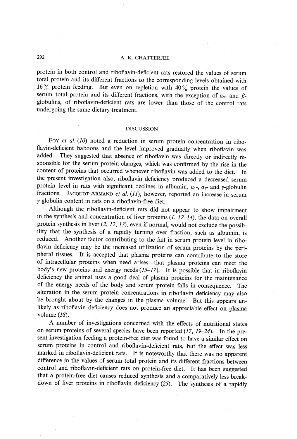#### 292 A. K. CHATTERJEE

protein in both control and riboflavin-deficient rats restored the values of serum total protein and its different fractions to the corresponding levels obtained with 16% protein feeding. But even on repletion with 40% protein the values of serum total protein and its different fractions, with the exception of  $a_2$ - and  $\beta$ globulins, of riboflavin-deficient rats are lower than those of the control rats undergoing the same dietary treatment.

#### DISCUSSION

Foy et al. (10) noted a reduction in serum protein concentration in riboflavin-deficient baboons and the level improved gradually when riboflavin was added. They suggested that absence of riboflavin was directly or indirectly re sponsible for the serum protein changes, which was confirmed by the rise in the content of proteins that occurred whenever riboflavin was added to the diet. In the present investigation also, riboflavin deficiency produced a decreased serum protein level in rats with significant declines in albumin,  $a_1$ -,  $a_2$ - and  $\gamma$ -globulin fractions. JACQUOT-ARMAND et al. (11), however, reported an increase in serum y-globulin content in rats on a riboflavin-free diet.

Although the riboflavin-deficient rats did not appear to show impairment in the synthesis and concentration of liver proteins  $(1, 12-14)$ , the data on overall protein synthesis in liver  $(2, 12, 13)$ , even if normal, would not exclude the possibility that the synthesis of a rapidly turning over fraction, such as albumin, is reduced. Another factor contributing to the fall in serum protein level in ribo flavin deficiency may be the increased utilization of serum proteins by the peripheral tissues. It is accepted that plasma proteins can contribute to the store of intracellular proteins when need arises-that plasma proteins can meet the body's new proteins and energy needs  $(15-17)$ . It is possible that in riboflavin deficiency the animal uses a good deal of plasma proteins for the maintenance of the energy needs of the body and serum protein falls in consequence . The alteration in the serum protein concentrations in riboflavin deficiency may also be brought about by the changes in the plasma volume. But this appears un likely as riboflavin deficiency does not produce an appreciable effect on plasma volume (18).

A number of investigations concerned with the effects of nutritional states on serum proteins of several species have been reported  $(17, 19-24)$ . In the present investigation feeding a protein-free diet was found to have a similar effect on serum proteins in control and riboflavin-deficient rats, but the effect was less marked in riboflavin-deficient rats. It is noteworthy that there was no apparent difference in the values of serum total protein and its different fractions between control and riboflavin-deficient rats on protein-free diet. It has been suggested that a protein-free diet causes reduced synthesis and a comparatively less break down of liver proteins in riboflavin deficiency (25). The synthesis of a rapidly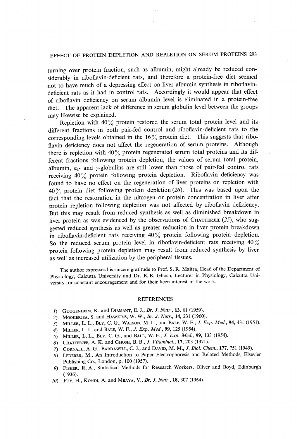#### EFFECT OF PROTEIN DEPLETION AND REPLETION ON SERUM PROTEINS 293

turning over protein fraction, such as albumin, might already be reduced con siderably in riboflavin-deficient rats, and therefore a protein-free diet seemed not to have much of a depressing effect on liver albumin synthesis in riboflavin deficient rats as it had in control rats. Accordingly it would appear that effect of riboflavin deficiency on serum albumin level is eliminated in a protein-free diet. The apparent lack of difference in serum globulin level between the groups may likewise be explained.

Repletion with  $40\%$  protein restored the serum total protein level and its different fractions in both pair-fed control and riboflavin-deficient rats to the corresponding levels obtained in the  $16\%$  protein diet. This suggests that riboflavin deficiency does not affect the regeneration of serum proteins. Although there is repletion with 40% protein regenerated serum total proteins and its different fractions following protein depletion, the values of serum total protein, albumin,  $a_1$ - and y-globulins are still lower than those of pair-fed control rats receiving 40% protein following protein depletion. Riboflavin deficiency was found to have no effect on the regeneration of liver proteins on repletion with  $40\%$  protein diet following protein depletion (26). This was based upon the fact that the restoration in the nitrogen or protein concentration in liver after protein repletion following depletion was not affected by riboflavin deficiency. But this may result from reduced synthesis as well as diminished breakdown in liver protein as was evidenced by the observations of CHATTERJEE  $(25)$ , who suggested reduced synthesis as well as greater reduction in liver protein breakdown in riboflavin-deficient rats receiving  $40\%$  protein following protein depletion. So the reduced serum protein level in riboflavin-deficient rats receiving  $40\%$ protein following protein depletion may result from reduced synthesis by liver as well as increased utilization by the peripheral tissues.

The author expresses his sincere gratitude to Prof. S. R. Maitra, Head of the Department of Physiology, Calcutta University and Dr. B. B. Ghosh, Lecturer in Physiology, Calcutta Uni versity for constant encouragement and for their keen interest in the work.

#### **REFERENCES**

- 1) GUGGENHEIM, K. and DIAMANT, E. J., Br. J. Nutr., 13, 61 (1959).
- 2) MOOKERJEA, S. and HAWKINS, W. W., Br. J. Nutr., 14, 231 (1960).
- 3) MILLER, L. L., BLY, C. G., WATSON, M. L., and BALE, W. F., J. Exp. Med., 94, 431 (1951).
- 4) MILLER, L. L. and BALE, W. F., J. Exp. Med., 99, 125 (1954).
- 5) MILLER, L. L., BLY, C. G., and BALE, W. F., J. Exp. Med., 99, 133 (1954).
- 6) CHATTERJEE, A. K. and GHOSH, B. B., J. Vitaminol., 17, 203 (1971).
- 7) GORNALL, A. G., BARDAWILL, C. J., and DAVID, M. M., J. Biol. Chem., 177, 751 (1949).
- 8) LEDERER, M., An Introduction to Paper Electrophoresis and Related Methods, Elsevier Publishing Co., London, p. 100 (1957).
- 9) FISHER, R. A., Statistical Methods for Research Workers, Oliver and Boyd, Edinburgh (1936).
- 10) Foy, H., KONDI, A. and MBAYA, V., Br. J. Nutr., 18, 307 (1964).